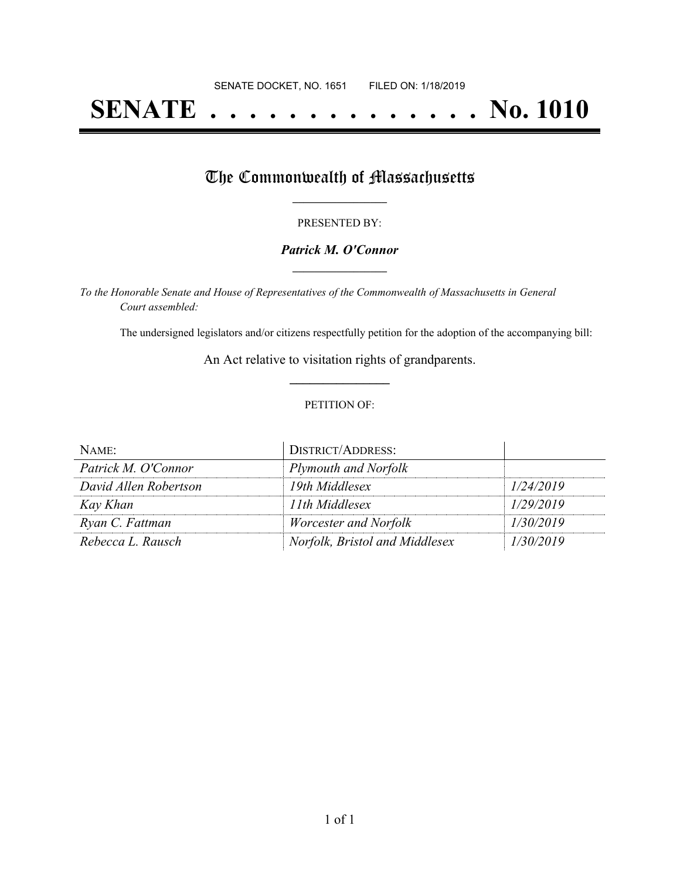# **SENATE . . . . . . . . . . . . . . No. 1010**

## The Commonwealth of Massachusetts

#### PRESENTED BY:

#### *Patrick M. O'Connor* **\_\_\_\_\_\_\_\_\_\_\_\_\_\_\_\_\_**

*To the Honorable Senate and House of Representatives of the Commonwealth of Massachusetts in General Court assembled:*

The undersigned legislators and/or citizens respectfully petition for the adoption of the accompanying bill:

An Act relative to visitation rights of grandparents. **\_\_\_\_\_\_\_\_\_\_\_\_\_\_\_**

#### PETITION OF:

| NAME:                 | <b>DISTRICT/ADDRESS:</b>       |           |
|-----------------------|--------------------------------|-----------|
| Patrick M. O'Connor   | Plymouth and Norfolk           |           |
| David Allen Robertson | 19th Middlesex                 | 1/24/2019 |
| Kay Khan              | 11th Middlesex                 | 1/29/2019 |
| Ryan C. Fattman       | Worcester and Norfolk          | 1/30/2019 |
| Rebecca L. Rausch     | Norfolk, Bristol and Middlesex | 1/30/2019 |